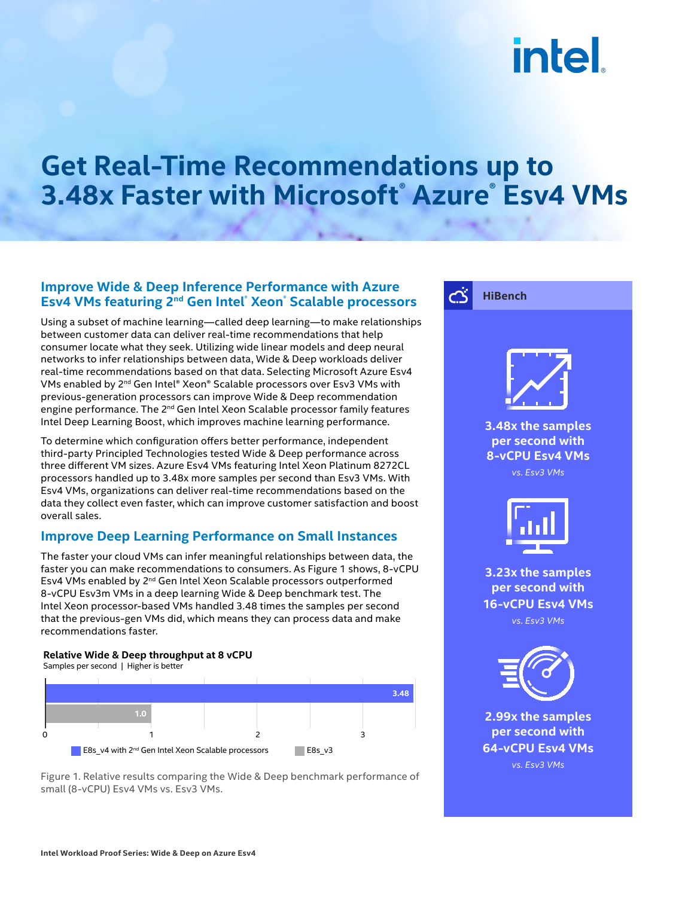# intel.

## **Get Real-Time Recommendations up to 3.48x Faster with Microsoft® Azure® Esv4 VMs**

#### **Improve Wide & Deep Inference Performance with Azure Esv4 VMs featuring 2nd Gen Intel® Xeon® Scalable processors**

Using a subset of machine learning—called deep learning—to make relationships between customer data can deliver real-time recommendations that help consumer locate what they seek. Utilizing wide linear models and deep neural networks to infer relationships between data, Wide & Deep workloads deliver real-time recommendations based on that data. Selecting Microsoft Azure Esv4 VMs enabled by 2nd Gen Intel® Xeon® Scalable processors over Esv3 VMs with previous-generation processors can improve Wide & Deep recommendation engine performance. The 2<sup>nd</sup> Gen Intel Xeon Scalable processor family features Intel Deep Learning Boost, which improves machine learning performance.

To determine which configuration offers better performance, independent third-party Principled Technologies tested Wide & Deep performance across three different VM sizes. Azure Esv4 VMs featuring Intel Xeon Platinum 8272CL processors handled up to 3.48x more samples per second than Esv3 VMs. With Esv4 VMs, organizations can deliver real-time recommendations based on the data they collect even faster, which can improve customer satisfaction and boost overall sales.

#### **Improve Deep Learning Performance on Small Instances**

The faster your cloud VMs can infer meaningful relationships between data, the faster you can make recommendations to consumers. As Figure 1 shows, 8-vCPU Esv4 VMs enabled by 2<sup>nd</sup> Gen Intel Xeon Scalable processors outperformed 8-vCPU Esv3m VMs in a deep learning Wide & Deep benchmark test. The Intel Xeon processor-based VMs handled 3.48 times the samples per second that the previous-gen VMs did, which means they can process data and make recommendations faster.

#### **Relative Wide & Deep throughput at 8 vCPU**

Samples per second | Higher is better



Figure 1. Relative results comparing the Wide & Deep benchmark performance of small (8-vCPU) Esv4 VMs vs. Esv3 VMs.